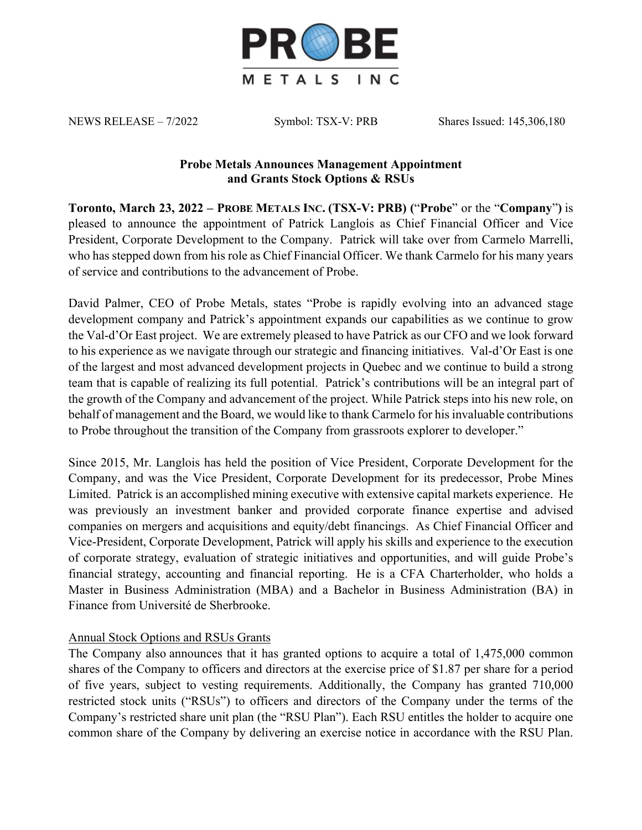

NEWS RELEASE – 7/2022 Symbol: TSX-V: PRB Shares Issued: 145,306,180

## **Probe Metals Announces Management Appointment and Grants Stock Options & RSUs**

**Toronto, March 23, 2022 – PROBE METALS INC. (TSX-V: PRB) (**"**Probe**" or the "**Company**"**)** is pleased to announce the appointment of Patrick Langlois as Chief Financial Officer and Vice President, Corporate Development to the Company. Patrick will take over from Carmelo Marrelli, who has stepped down from his role as Chief Financial Officer. We thank Carmelo for his many years of service and contributions to the advancement of Probe.

David Palmer, CEO of Probe Metals, states "Probe is rapidly evolving into an advanced stage development company and Patrick's appointment expands our capabilities as we continue to grow the Val-d'Or East project. We are extremely pleased to have Patrick as our CFO and we look forward to his experience as we navigate through our strategic and financing initiatives. Val-d'Or East is one of the largest and most advanced development projects in Quebec and we continue to build a strong team that is capable of realizing its full potential. Patrick's contributions will be an integral part of the growth of the Company and advancement of the project. While Patrick steps into his new role, on behalf of management and the Board, we would like to thank Carmelo for his invaluable contributions to Probe throughout the transition of the Company from grassroots explorer to developer."

Since 2015, Mr. Langlois has held the position of Vice President, Corporate Development for the Company, and was the Vice President, Corporate Development for its predecessor, Probe Mines Limited. Patrick is an accomplished mining executive with extensive capital markets experience. He was previously an investment banker and provided corporate finance expertise and advised companies on mergers and acquisitions and equity/debt financings. As Chief Financial Officer and Vice-President, Corporate Development, Patrick will apply his skills and experience to the execution of corporate strategy, evaluation of strategic initiatives and opportunities, and will guide Probe's financial strategy, accounting and financial reporting. He is a CFA Charterholder, who holds a Master in Business Administration (MBA) and a Bachelor in Business Administration (BA) in Finance from Université de Sherbrooke.

## Annual Stock Options and RSUs Grants

The Company also announces that it has granted options to acquire a total of 1,475,000 common shares of the Company to officers and directors at the exercise price of \$1.87 per share for a period of five years, subject to vesting requirements. Additionally, the Company has granted 710,000 restricted stock units ("RSUs") to officers and directors of the Company under the terms of the Company's restricted share unit plan (the "RSU Plan"). Each RSU entitles the holder to acquire one common share of the Company by delivering an exercise notice in accordance with the RSU Plan.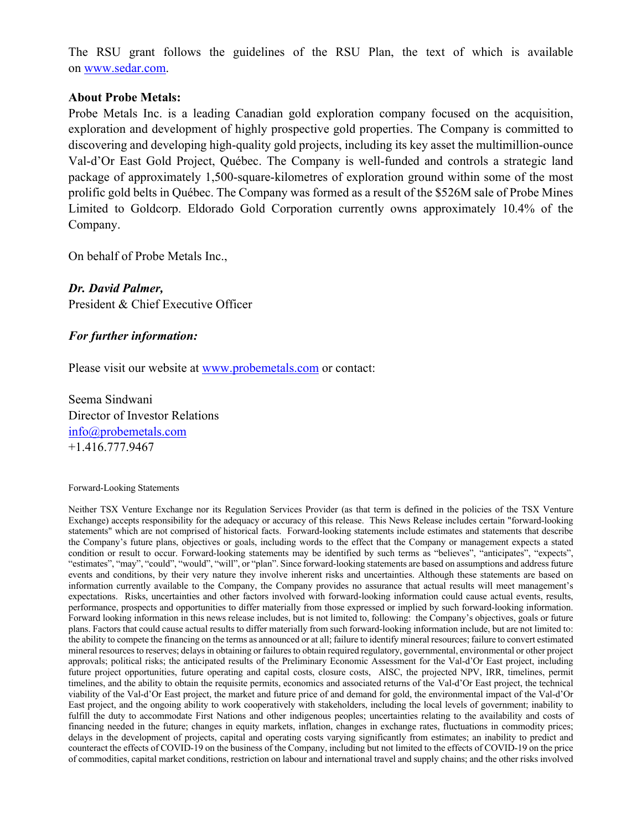The RSU grant follows the guidelines of the RSU Plan, the text of which is available on www.sedar.com.

## **About Probe Metals:**

Probe Metals Inc. is a leading Canadian gold exploration company focused on the acquisition, exploration and development of highly prospective gold properties. The Company is committed to discovering and developing high-quality gold projects, including its key asset the multimillion-ounce Val-d'Or East Gold Project, Québec. The Company is well-funded and controls a strategic land package of approximately 1,500-square-kilometres of exploration ground within some of the most prolific gold belts in Québec. The Company was formed as a result of the \$526M sale of Probe Mines Limited to Goldcorp. Eldorado Gold Corporation currently owns approximately 10.4% of the Company.

On behalf of Probe Metals Inc.,

*Dr. David Palmer,* President & Chief Executive Officer

## *For further information:*

Please visit our website at www.probemetals.com or contact:

Seema Sindwani Director of Investor Relations info@probemetals.com +1.416.777.9467

Forward-Looking Statements

Neither TSX Venture Exchange nor its Regulation Services Provider (as that term is defined in the policies of the TSX Venture Exchange) accepts responsibility for the adequacy or accuracy of this release. This News Release includes certain "forward-looking statements" which are not comprised of historical facts. Forward-looking statements include estimates and statements that describe the Company's future plans, objectives or goals, including words to the effect that the Company or management expects a stated condition or result to occur. Forward-looking statements may be identified by such terms as "believes", "anticipates", "expects", "estimates", "may", "could", "would", "will", or "plan". Since forward-looking statements are based on assumptions and address future events and conditions, by their very nature they involve inherent risks and uncertainties. Although these statements are based on information currently available to the Company, the Company provides no assurance that actual results will meet management's expectations. Risks, uncertainties and other factors involved with forward-looking information could cause actual events, results, performance, prospects and opportunities to differ materially from those expressed or implied by such forward-looking information. Forward looking information in this news release includes, but is not limited to, following: the Company's objectives, goals or future plans. Factors that could cause actual results to differ materially from such forward-looking information include, but are not limited to: the ability to compete the financing on the terms as announced or at all; failure to identify mineral resources; failure to convert estimated mineral resources to reserves; delays in obtaining or failures to obtain required regulatory, governmental, environmental or other project approvals; political risks; the anticipated results of the Preliminary Economic Assessment for the Val-d'Or East project, including future project opportunities, future operating and capital costs, closure costs, AISC, the projected NPV, IRR, timelines, permit timelines, and the ability to obtain the requisite permits, economics and associated returns of the Val-d'Or East project, the technical viability of the Val-d'Or East project, the market and future price of and demand for gold, the environmental impact of the Val-d'Or East project, and the ongoing ability to work cooperatively with stakeholders, including the local levels of government; inability to fulfill the duty to accommodate First Nations and other indigenous peoples; uncertainties relating to the availability and costs of financing needed in the future; changes in equity markets, inflation, changes in exchange rates, fluctuations in commodity prices; delays in the development of projects, capital and operating costs varying significantly from estimates; an inability to predict and counteract the effects of COVID-19 on the business of the Company, including but not limited to the effects of COVID-19 on the price of commodities, capital market conditions, restriction on labour and international travel and supply chains; and the other risks involved